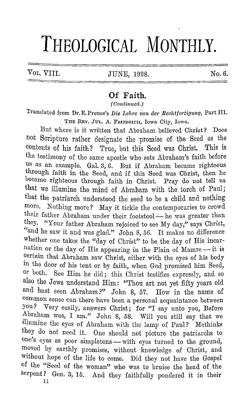## **THEOLOGICAL MONTHLY.**

Vol. VIII. JUNE, 1928. No. 6.

## **Of Faith.**

*(Continued.)* 

Translated from Dr. E. Preuss's *Die Lohre von der Reohtfertigung,* Part III. THE REV. JUL. A. FRIEDRICH, Iowa City, Iowa.

But where is it written that Abraham believed Christ? Does not Scripture rather designate the promise of the Seed as the contents of his faith? True, but this Seed was Christ. This is contents of his faith? True, but this Seed was Christ. the testimony of the same apostle who sets Abraham's faith before us as an example. Gal. 3, 6. But if Abraham became righteous through faith in the Seed, and if this Seed was Christ, then he became righteous through faith in Christ. Pray do not tell us that we illumine the mind of Abraham with the torch of Paul; that the patriarch understood the seed to be a child and nothing more. Nothing more? May it tickle the contemporaries to crowd their father Abraham under their footstool - he was greater than they. "Your father Abraham rejoiced to see My day," says Christ, "and he saw it and was glad." John 8, 56. It makes no difference whether one takes the "day of Christ" to be the day of His incarnation or the day of His appearing in the Plain of Mamre -- it is certain that Abraham saw Christ, either with the eyes of his body in the door of his tent or by faith, when God promised him Seed, or both. See Him he did; this Christ testifies expressly, and so also the Jews understand Him: "Thou art not yet fifty years old and hast seen Abraham?" John 8, 57. Bow in the name of common sense can there have been a personal acquaintance between you? Very easily, answers Christ; for "I say unto you, Before ~braham was, I am." John 8, 58. Will you still say that we illumine the eyes of Abraham with the lamp of Paul? Methinks they do not need it. One should not picture the patriarchs to one's eyes as poor simpletons - with eyes turned to the ground, moved by earthly promises, without knowledge of Christ, and without hope of the life to come. Did they not have the Gospel of the "Seed of the woman" who was to bruise the head of the serpent? Gen. 3, 15. And they faithfully pondered it in their

11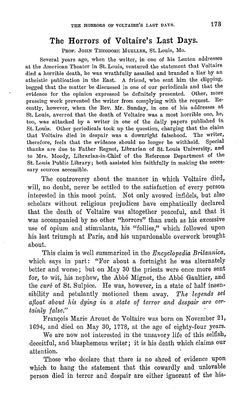## **The Horrors of Voltaire's Last Days.**

PROF. JOHN THEODORE MUELLER, St. Louis, Mo.

Several years ago, when the writer, in one of his Lenten addresses at the American Theater in St. Louis, ventured the statement that Voltaire died a horrible death, he was wrathfully assailed and branded a liar by an atheistic publication in the East. A friend, who sent him the clipping, begged that the matter be discussed in one of our periodicals and that the evidence for the opinion expressed be definitely presented. Other, more pressing work prevented the writer from complying with the request. Re· cently, however, when the Rev. Mr. Sunday, in one of his addresses at St. Louis, averred that the death of Voltaire was a most horrible one, he, too, was attacked by a writer in one of the daily papers published in St. Louis. Other periodicals took up the question, charging that the claim that Voltaire died in despair was a downright falsehood. The writer, that Voltaire died in despair was a downright falsehood. The writer, therefore, feels that the evidence should no longer be withheld. Special therefore, feels that the evidence should no longer be withheld. thanks are due to Father Regnet, Librarian of St. Louis University, and to Mrs. Moody, Librarian-in-Chief of the Reference Department of the St. Louis Public Library; both assisted him faithfully in making the neces· sary sources accessible.

The controversy about the manner in which Voltaire died, will, no doubt, never be settled to the satisfaction of every person interested in this moot point. Not only avowed infidels, but also scholars without religious prejudices have emphatically declared that the death or Voltaire was altogether peaceful, and that it was accompanied by no other "horrors" than such as his excessive use of opium and stimulants, his "follies," which followed upon his last triumph at Paris, and his unpardonable overwork brought about.

This claim is well summarized in the *Encyclopedia Britannica,*  which says in part: "For about a fortnight he was alternately better and worse; but on May 30 the priests were once more sent for, to wit, his nephew, the Abbé Mignot, the Abbé Gaultier, and the *curé* of St. Sulpice. He was, however, in a state of half insensibility and petulantly motioned them away. *The legends set afloat about his dying in a state of terror and despair are certainly false."* 

Frangois Marie Arouet de Voltaire was born on November 21, 1694, and died on May 30, 1778, at the age of eighty-four years.

We are now not interested in the unsavory life of this selfish, deceitful, and blasphemous writer; it is his death which claims our attention.

Those who declare that there is no shred of evidence upon which to hang the statement that this cowardly and unlovable person died in terror and despair are either ignorant of the his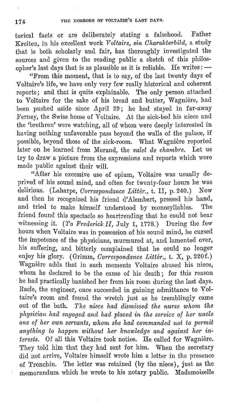torical facts or are deliberately stating a falsehood. Father Kreiten, in his excellent work *Voltaire, ein Oharalcterbild,* a study that is both scholarly and fair, has thoroughly investigated the sources and given to the reading public a sketch of this philosopher's last days that is as plausible as it is reliable. He writes:  $-\frac{1}{2}$ 

"From this moment, that is to say, of the last twenty days of Voltaire's life, we have only very few really historical and coherent reports; and that is quite explainable. The only person attached to Voltaire for the sake of his bread and butter, Wagniere, had been pushed aside since April 29; he had stayed in far-away Femey, the Swiss home of Voltaire. At the sick-bed his niece and the 'brethren' were watching, all of whom were deeply interested in having nothing unfavorable pass beyond the walls of the palace, if possible, beyond those of the sick-room. What Wagniere reported later on he learned from Morand, the *valet de chambre.* Let us try to draw a picture from the expressions and reports which were made public against their will.

"After his excessive use of opium, Voltaire was usually deprived of his sound mind, and often for twenty-four hours he was delirious. (Laharne, *Correspondance Littér*, t. H. p. 240.) Now delirious. (Laharpe, *Correspondance Littér.*, t. II, p. 240.) and then he recognized his friend d' Alembert, pressed his hand, and tried to make himself understood by monosyllables. The friend found this spectacle so heartrending that he could not bear witnessing it.  $(To$  Frederick II, July 1, 1778.) During the few hours when Voltaire was in possession of his sound mind, he cursed the impotence of the physicians, murmured at, and lamented over, his suffering, and bitterly complained that he could no longer enjoy his glory. (Grimm, *Oorrespondance Litter.,* t. X, p. 220f.) Wagnière adds that in such moments Voltaire abused his niece, whom he declared to be the cause of his death; for this reason he had practically banished her from his room during the last days. Racle, the engineer, once succeeded in gaining admittance to Voltaire's room and found the wretch just as he tremblingly came out of the bath. *The niece had dismissed the nurse whom the physician had engaged and had placed in the service of her uncle one of her own servants, whom she had commanded not to permit anything to happen without her lcnowledge and against her in:*  terests. Of all this Voltaire took notice. He called for Wagnière. They told him that they had sent for him. When the secretary did not arrive, Voltaire himself wrote him a letter in the presence of Tronchin. The letter was retained (by the niece), just as the memorandum which he wrote to his notary public. Mademoiselle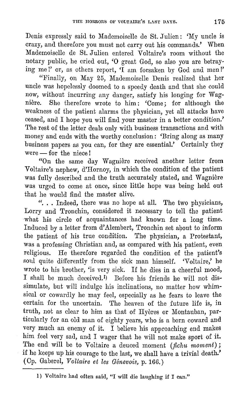Denis expressly said to Mademoiselle de St. Julien: 'My uncle is crazy, and therefore you must not carry out his commands.' When Mademoiselle de St. Julien entered Voltaire's room without the notary public, he cried out, **'0** great God, so also you are betraying me !' or, as others report, 'I am forsaken by God and men!'

"Finally, on May 25, Mademoiselle Denis realized that her uncle was hopelessly doomed to a speedy death and that she could now, without incurring any danger, satisfy his longing for Wagnière. She therefore wrote to him: 'Come; for although the weakness of the patient alarms the physician, yet all attacks have ceased, and I hope you will find your master in a better condition.' The rest of the letter deals only with business transactions and with money and ends with the worthy conclusion: 'Bring along as many business papers as you can, for they are essential.' Certainly they  $were$  - for the niece!

"On the same day Wagnière received another letter from Voltaire's nephew, d'Hornoy, in which the condition of the patient was fully described and the truth accurately stated, and Wagniere was urged to come at once, since little hope was being held out that he would find the master alive.

"... Indeed, there was no hope at all. The two physicians, Lorry and Tronchin, considered it necessary to tell the patient what his circle of acquaintances had known for a long time. Induced by a letter from d' Alembert, Tronchin set about to inform the patient of his true condition. The physician, a Protestant, was a professing Christian and, as compared with his patient, even religious. He therefore regarded the condition of the patient's soul quite differently from the sick man himself. 'Voltaire,' he wrote to his brother, 'is very sick. If he dies in a cheerful mood, I shall be much deceivcd.1) Before his friends he will not dissimulate, but will indulge his inclinations, no matter how whimsical or cowardly he may feel, especially as he fears to leave the certain for the uncertain. The heaven of the future life is, in truth, not as clear to him as that of Hyeres or Montauban, particularly for an old man of eighty years, who is a born coward and very much an enemy of it. I believe his approaching end makes him feel very sad, and I wager that he will not make sport of it. The end will be to Voltaire a deuced moment *(fichu moment);*  if he keeps up his courage to the last, we shall have a trivial death.' ( Op. Gaberel, *Voltaire et les Genevois,* p. 166.)

<sup>1)</sup> Voltaire had often said, "I will die laughing if I can."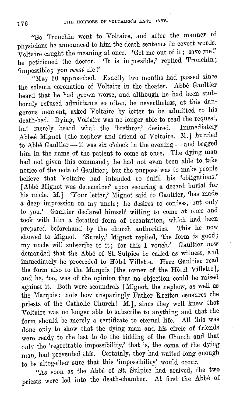"So Tronchin went to Voltaire, and after the manner of physicians he announced to him the death sentence in covert words. Voltaire caught the meaning at once. 'Get me out of it; save me I' he petitioned the doctor. 'It is impossible,' replied Tronchin; 'impossible; you *must* die !'

"May 30 approached. Exactly two months had passed since the solemn coronation of Voltaire in the theater. Abbe Gaultier heard that he had grown worse, and although he had been stubbornly refused admittance so often, he nevertheless, at this dangerous moment, asked Voltaire by letter to be admitted to his death-bed. Dying, Voltaire was no longer able to read the request,<br>but merely beard what the fhrethren' desired Immediately but merely heard what the 'brethren' desired. Abbee Mignot [the nephew and friend of Voltaire. M.] hurried to Abbé Gaultier - it was six o'clock in the evening - and begged him in the name of the patient to come at once. The dying man had not given this command; he had not even been able to take notice of the note of Gaultier; but the purpose was to make people believe that Voltaire had intended to fulfil his 'obligations.' [Abbe Mignot was determined upon securing a decent burial for his uncle. M.] 'Your letter,' Mignot said to Gaultier, 'has made a deep impression on my uncle; he desires to confess, but only to you.' Gaultier declared himself willing to come at once and took with him a detailed form of recantation, which had been<br>prepared beforehand by the church authorities. This he now prepared beforehand by the church authorities. This he now showed to Mignot. 'Surely,' Mignot replied, 'the form is good; my uncle will subscribe to it; for this I vouch.' Gaultier now demanded that the Abbe of St. Sulpice be called as witness, and immediately he proceeded to Hôtel Villette. Here Gaultier read the form also to the Marquis [the owner of the Hotel Villette], and he, too, was of the opinion that no objection could be raised against it. Both were scoundrels [Mignot, the nephew, as well as the Marquis; note how unsparingly Father Kreiten censures the priests of the Catholic Church! M.], since they well knew that Voltaire was no longer able to subscribe to anything and that the form should be merely a certificate to eternal life. All this was done only to show that the dying man and his circle of friends were ready to the last to do the bidding of the Church and that only the 'regrettable impossibility,' that is, the coma of the dying man, had prevented this. Certainly, they had waited long enough to be altogether sure that this 'impossibility' would occur.

"As soon as the Abbé of St. Sulpice had arrived, the two priests were led into the death-chamber. At first the Abbé of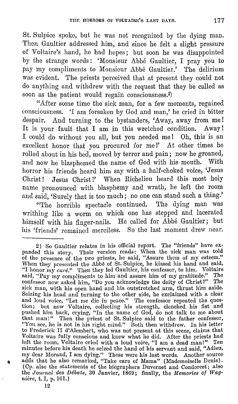St. Sulpice spoke, but he was not recognized by the dying man. Then Gaultier addressed him, and since he felt a slight pressure of Voltaire's hand, he had hopes; but soon he was disappointed by the strange words : 'Monsieur Abbe Gaultier, I pray you to pay my compliments to Monsieur Abbe Gaultier.' The delirium was evident. The priests perceived that at present they could not do anything and withdrew with the request that they be called as soon as the patient would regain consciousness.<sup>2)</sup>

"After some time the sick man, for a few moments, regained eonsciousncss. 'I am forsaken by God and man,' he cried in bitter despair. And turning to the bystanders, 'Away, away from me! It is your fault that I am in this wretched condition. Away! I could do without you all, but you needed me! Oh, this is an excellent honor that you procured for me!' At other times he rolled about in his bed, moved by terror and pain; now he groaned, and now he blasphemed the name of God with his mouth. With horror his friends heard him say with a half-choked voice, 'Jesus Christ! Jesus Christ!' When Richelieu heard this most holy nam:e pronounced with blasphemy and wrath, he left the room and said, 'Surely that is too much; no one can stand such a thing.'

"The horrible spectacle continued. The dying man was writhing like a worm on which one has stepped and lacerated himself with his finger-nails. He called for  $\tilde{\rm A}$ bbé Gaultier; but his 'friends' remained merciless. So the last moment drew near.

12

<sup>2)</sup> So Gaultier relates in his official report. The "friends" have expanded this story. Their version reads: When the sick man was told of the presence of the two priests, he said, "Assure them of my esteem.'' When they presented the Abbé of St. Sulpice, he kissed his hand and said, "I honor my *curé.*" Then they led Gaultier, his confessor, to him. Voltaire said, "Pay my compliments to him and assure him of my gratitude.'' The confessor now asked him, "Do you acknowledge the deity of Christ?" The sick man, with his open hand and his outstretched arm, thrust him aside. Seizing his head and turning to the other side, he exclaimed with a clear and loud voice, "Let me die in peace." The confessor repeated the question; but now Voltaire, collecting his strength, clenched his fist and pushed him back, crying, "In the name of God, do not talk to me about that man!" Then the priest of St. Sulpice said to the father confessor, "You see, he is not in his right mind." Both then withdrew. In his letter to Frederick II d'Alembert, who was not present at this scene, claims that Voltaire was fully conscious and knew what he did. After the priests had left the room, Voltaire cried with a loud voice, "I am a dead man!" Ten minutes before his death he seized the hand of his servant and said, "Adieu, my dear Morand, I am dying." These were his last words. Another source  $_{\odot}$  adds that he also remarked, "Take care of Mama" (Mademoiselle Denis). (Op. also the statements of the biographers Duvernet and Condorcet; also the *Journal des Debats,* 30 Janvier, 1869; finally, the *Memories of lVagniere,* t. I, p. 161.)